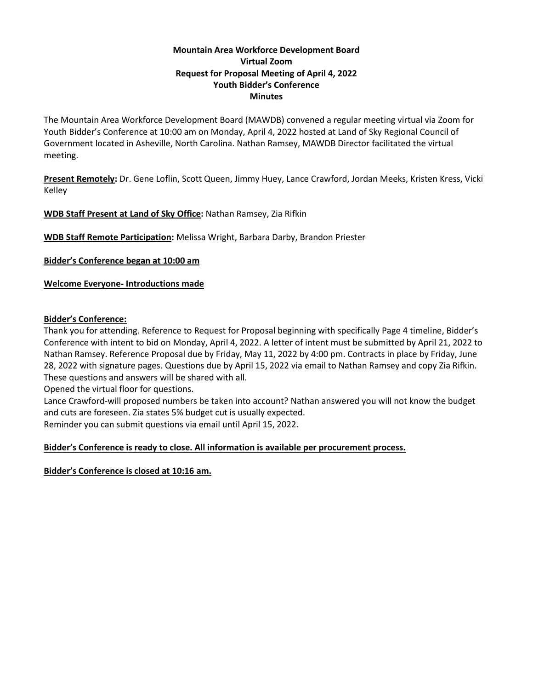## **Mountain Area Workforce Development Board Virtual Zoom Request for Proposal Meeting of April 4, 2022 Youth Bidder's Conference Minutes**

The Mountain Area Workforce Development Board (MAWDB) convened a regular meeting virtual via Zoom for Youth Bidder's Conference at 10:00 am on Monday, April 4, 2022 hosted at Land of Sky Regional Council of Government located in Asheville, North Carolina. Nathan Ramsey, MAWDB Director facilitated the virtual meeting.

**Present Remotely:** Dr. Gene Loflin, Scott Queen, Jimmy Huey, Lance Crawford, Jordan Meeks, Kristen Kress, Vicki Kelley

**WDB Staff Present at Land of Sky Office:** Nathan Ramsey, Zia Rifkin

**WDB Staff Remote Participation:** Melissa Wright, Barbara Darby, Brandon Priester

**Bidder's Conference began at 10:00 am**

**Welcome Everyone- Introductions made**

## **Bidder's Conference:**

Thank you for attending. Reference to Request for Proposal beginning with specifically Page 4 timeline, Bidder's Conference with intent to bid on Monday, April 4, 2022. A letter of intent must be submitted by April 21, 2022 to Nathan Ramsey. Reference Proposal due by Friday, May 11, 2022 by 4:00 pm. Contracts in place by Friday, June 28, 2022 with signature pages. Questions due by April 15, 2022 via email to Nathan Ramsey and copy Zia Rifkin. These questions and answers will be shared with all.

Opened the virtual floor for questions.

Lance Crawford-will proposed numbers be taken into account? Nathan answered you will not know the budget and cuts are foreseen. Zia states 5% budget cut is usually expected.

Reminder you can submit questions via email until April 15, 2022.

# **Bidder's Conference is ready to close. All information is available per procurement process.**

**Bidder's Conference is closed at 10:16 am.**